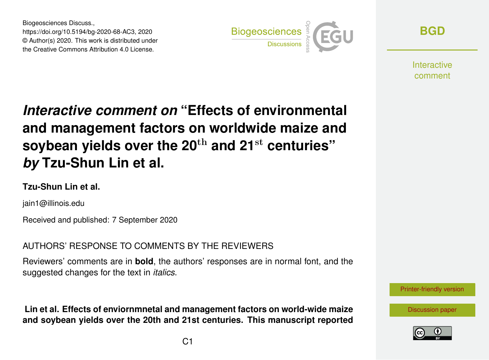Biogeosciences Discuss., https://doi.org/10.5194/bg-2020-68-AC3, 2020 © Author(s) 2020. This work is distributed under the Creative Commons Attribution 4.0 License.



**[BGD](https://bg.copernicus.org/preprints/)**

**Interactive** comment

# *Interactive comment on* **"Effects of environmental and management factors on worldwide maize and soybean yields over the 20**th **and 21**st **centuries"** *by* **Tzu-Shun Lin et al.**

#### **Tzu-Shun Lin et al.**

jain1@illinois.edu

Received and published: 7 September 2020

AUTHORS' RESPONSE TO COMMENTS BY THE REVIEWERS

Reviewers' comments are in **bold**, the authors' responses are in normal font, and the suggested changes for the text in *italics*.

**Lin et al. Effects of enviornmnetal and management factors on world-wide maize and soybean yields over the 20th and 21st centuries. This manuscript reported**



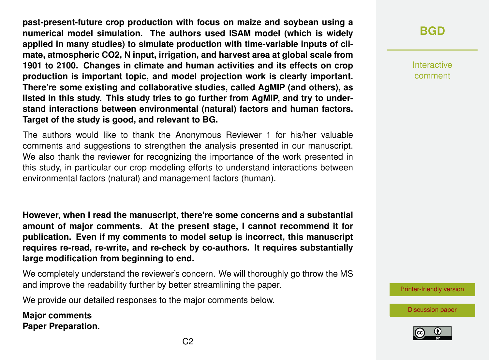**past-present-future crop production with focus on maize and soybean using a numerical model simulation. The authors used ISAM model (which is widely applied in many studies) to simulate production with time-variable inputs of climate, atmospheric CO2, N input, irrigation, and harvest area at global scale from 1901 to 2100. Changes in climate and human activities and its effects on crop production is important topic, and model projection work is clearly important. There're some existing and collaborative studies, called AgMIP (and others), as listed in this study. This study tries to go further from AgMIP, and try to understand interactions between environmental (natural) factors and human factors. Target of the study is good, and relevant to BG.**

The authors would like to thank the Anonymous Reviewer 1 for his/her valuable comments and suggestions to strengthen the analysis presented in our manuscript. We also thank the reviewer for recognizing the importance of the work presented in this study, in particular our crop modeling efforts to understand interactions between environmental factors (natural) and management factors (human).

**However, when I read the manuscript, there're some concerns and a substantial amount of major comments. At the present stage, I cannot recommend it for publication. Even if my comments to model setup is incorrect, this manuscript requires re-read, re-write, and re-check by co-authors. It requires substantially large modification from beginning to end.**

We completely understand the reviewer's concern. We will thoroughly go throw the MS and improve the readability further by better streamlining the paper.

We provide our detailed responses to the major comments below.

**Major comments Paper Preparation.** **[BGD](https://bg.copernicus.org/preprints/)**

Interactive comment



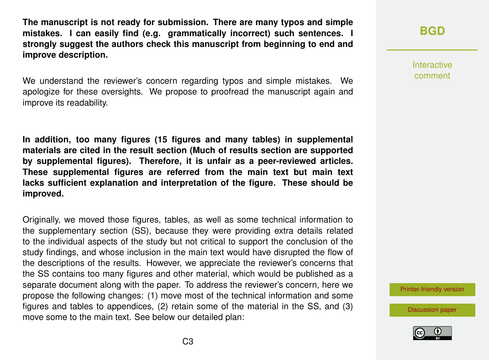**The manuscript is not ready for submission. There are many typos and simple mistakes. I can easily find (e.g. grammatically incorrect) such sentences. I strongly suggest the authors check this manuscript from beginning to end and improve description.**

We understand the reviewer's concern regarding typos and simple mistakes. We apologize for these oversights. We propose to proofread the manuscript again and improve its readability.

**In addition, too many figures (15 figures and many tables) in supplemental materials are cited in the result section (Much of results section are supported by supplemental figures). Therefore, it is unfair as a peer-reviewed articles. These supplemental figures are referred from the main text but main text lacks sufficient explanation and interpretation of the figure. These should be improved.**

Originally, we moved those figures, tables, as well as some technical information to the supplementary section (SS), because they were providing extra details related to the individual aspects of the study but not critical to support the conclusion of the study findings, and whose inclusion in the main text would have disrupted the flow of the descriptions of the results. However, we appreciate the reviewer's concerns that the SS contains too many figures and other material, which would be published as a separate document along with the paper. To address the reviewer's concern, here we propose the following changes: (1) move most of the technical information and some figures and tables to appendices, (2) retain some of the material in the SS, and (3) move some to the main text. See below our detailed plan:

## **[BGD](https://bg.copernicus.org/preprints/)**

Interactive comment

[Printer-friendly version](https://bg.copernicus.org/preprints/bg-2020-68/bg-2020-68-AC3-print.pdf)

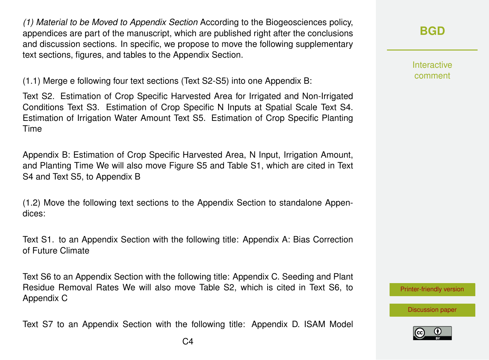*(1) Material to be Moved to Appendix Section* According to the Biogeosciences policy, appendices are part of the manuscript, which are published right after the conclusions and discussion sections. In specific, we propose to move the following supplementary text sections, figures, and tables to the Appendix Section.

(1.1) Merge e following four text sections (Text S2-S5) into one Appendix B:

Text S2. Estimation of Crop Specific Harvested Area for Irrigated and Non-Irrigated Conditions Text S3. Estimation of Crop Specific N Inputs at Spatial Scale Text S4. Estimation of Irrigation Water Amount Text S5. Estimation of Crop Specific Planting Time

Appendix B: Estimation of Crop Specific Harvested Area, N Input, Irrigation Amount, and Planting Time We will also move Figure S5 and Table S1, which are cited in Text S4 and Text S5, to Appendix B

(1.2) Move the following text sections to the Appendix Section to standalone Appendices:

Text S1. to an Appendix Section with the following title: Appendix A: Bias Correction of Future Climate

Text S6 to an Appendix Section with the following title: Appendix C. Seeding and Plant Residue Removal Rates We will also move Table S2, which is cited in Text S6, to Appendix C

Text S7 to an Appendix Section with the following title: Appendix D. ISAM Model

Interactive comment

[Printer-friendly version](https://bg.copernicus.org/preprints/bg-2020-68/bg-2020-68-AC3-print.pdf)

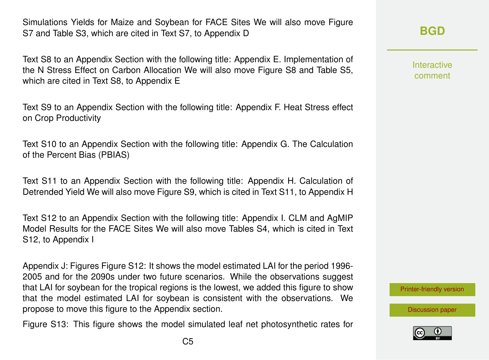Simulations Yields for Maize and Soybean for FACE Sites We will also move Figure S7 and Table S3, which are cited in Text S7, to Appendix D

Text S8 to an Appendix Section with the following title: Appendix E. Implementation of the N Stress Effect on Carbon Allocation We will also move Figure S8 and Table S5, which are cited in Text S8, to Appendix E

Text S9 to an Appendix Section with the following title: Appendix F. Heat Stress effect on Crop Productivity

Text S10 to an Appendix Section with the following title: Appendix G. The Calculation of the Percent Bias (PBIAS)

Text S11 to an Appendix Section with the following title: Appendix H. Calculation of Detrended Yield We will also move Figure S9, which is cited in Text S11, to Appendix H

Text S12 to an Appendix Section with the following title: Appendix I. CLM and AgMIP Model Results for the FACE Sites We will also move Tables S4, which is cited in Text S12, to Appendix I

Appendix J: Figures Figure S12: It shows the model estimated LAI for the period 1996- 2005 and for the 2090s under two future scenarios. While the observations suggest that LAI for soybean for the tropical regions is the lowest, we added this figure to show that the model estimated LAI for soybean is consistent with the observations. We propose to move this figure to the Appendix section.

Figure S13: This figure shows the model simulated leaf net photosynthetic rates for

Interactive comment

[Printer-friendly version](https://bg.copernicus.org/preprints/bg-2020-68/bg-2020-68-AC3-print.pdf)

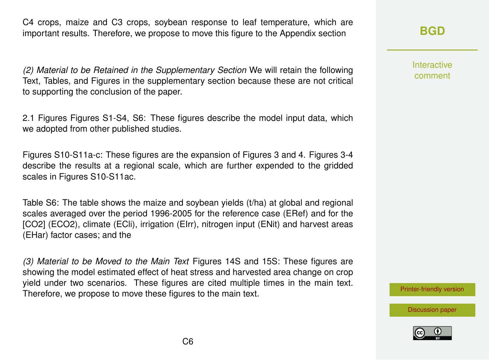C4 crops, maize and C3 crops, soybean response to leaf temperature, which are important results. Therefore, we propose to move this figure to the Appendix section

*(2) Material to be Retained in the Supplementary Section* We will retain the following Text, Tables, and Figures in the supplementary section because these are not critical to supporting the conclusion of the paper.

2.1 Figures Figures S1-S4, S6: These figures describe the model input data, which we adopted from other published studies.

Figures S10-S11a-c: These figures are the expansion of Figures 3 and 4. Figures 3-4 describe the results at a regional scale, which are further expended to the gridded scales in Figures S10-S11ac.

Table S6: The table shows the maize and soybean yields (t/ha) at global and regional scales averaged over the period 1996-2005 for the reference case (ERef) and for the [CO2] (ECO2), climate (ECli), irrigation (EIrr), nitrogen input (ENit) and harvest areas (EHar) factor cases; and the

*(3) Material to be Moved to the Main Text* Figures 14S and 15S: These figures are showing the model estimated effect of heat stress and harvested area change on crop yield under two scenarios. These figures are cited multiple times in the main text. Therefore, we propose to move these figures to the main text.

## **[BGD](https://bg.copernicus.org/preprints/)**

Interactive comment



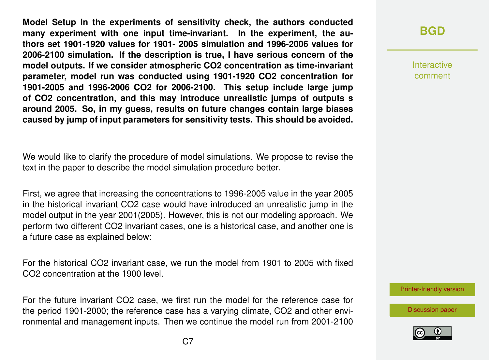**Model Setup In the experiments of sensitivity check, the authors conducted many experiment with one input time-invariant. In the experiment, the authors set 1901-1920 values for 1901- 2005 simulation and 1996-2006 values for 2006-2100 simulation. If the description is true, I have serious concern of the model outputs. If we consider atmospheric CO2 concentration as time-invariant parameter, model run was conducted using 1901-1920 CO2 concentration for 1901-2005 and 1996-2006 CO2 for 2006-2100. This setup include large jump of CO2 concentration, and this may introduce unrealistic jumps of outputs s around 2005. So, in my guess, results on future changes contain large biases caused by jump of input parameters for sensitivity tests. This should be avoided.**

We would like to clarify the procedure of model simulations. We propose to revise the text in the paper to describe the model simulation procedure better.

First, we agree that increasing the concentrations to 1996-2005 value in the year 2005 in the historical invariant CO2 case would have introduced an unrealistic jump in the model output in the year 2001(2005). However, this is not our modeling approach. We perform two different CO2 invariant cases, one is a historical case, and another one is a future case as explained below:

For the historical CO2 invariant case, we run the model from 1901 to 2005 with fixed CO2 concentration at the 1900 level.

For the future invariant CO2 case, we first run the model for the reference case for the period 1901-2000; the reference case has a varying climate, CO2 and other environmental and management inputs. Then we continue the model run from 2001-2100

Interactive comment

[Printer-friendly version](https://bg.copernicus.org/preprints/bg-2020-68/bg-2020-68-AC3-print.pdf)

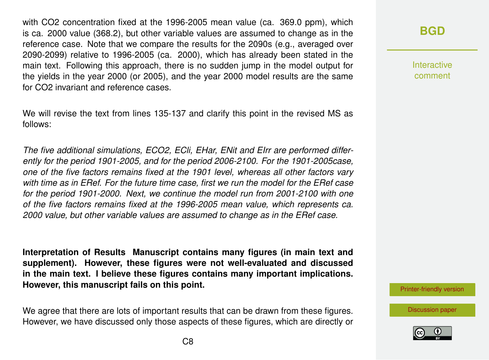with CO2 concentration fixed at the 1996-2005 mean value (ca. 369.0 ppm), which is ca. 2000 value (368.2), but other variable values are assumed to change as in the reference case. Note that we compare the results for the 2090s (e.g., averaged over 2090-2099) relative to 1996-2005 (ca. 2000), which has already been stated in the main text. Following this approach, there is no sudden jump in the model output for the yields in the year 2000 (or 2005), and the year 2000 model results are the same for CO2 invariant and reference cases.

We will revise the text from lines 135-137 and clarify this point in the revised MS as follows:

*The five additional simulations, ECO2, ECli, EHar, ENit and EIrr are performed differently for the period 1901-2005, and for the period 2006-2100. For the 1901-2005case, one of the five factors remains fixed at the 1901 level, whereas all other factors vary with time as in ERef. For the future time case, first we run the model for the ERef case for the period 1901-2000. Next, we continue the model run from 2001-2100 with one of the five factors remains fixed at the 1996-2005 mean value, which represents ca. 2000 value, but other variable values are assumed to change as in the ERef case.*

**Interpretation of Results Manuscript contains many figures (in main text and supplement). However, these figures were not well-evaluated and discussed in the main text. I believe these figures contains many important implications. However, this manuscript fails on this point.**

We agree that there are lots of important results that can be drawn from these figures. However, we have discussed only those aspects of these figures, which are directly or

## **[BGD](https://bg.copernicus.org/preprints/)**

**Interactive** comment

[Printer-friendly version](https://bg.copernicus.org/preprints/bg-2020-68/bg-2020-68-AC3-print.pdf)

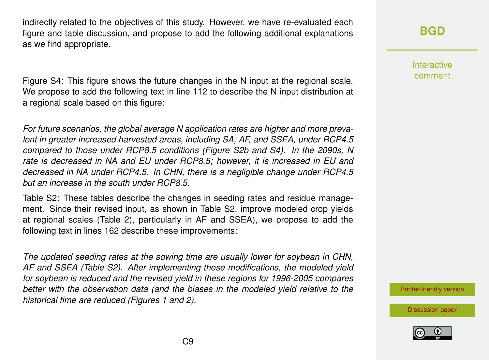indirectly related to the objectives of this study. However, we have re-evaluated each figure and table discussion, and propose to add the following additional explanations as we find appropriate.

Figure S4: This figure shows the future changes in the N input at the regional scale. We propose to add the following text in line 112 to describe the N input distribution at a regional scale based on this figure:

*For future scenarios, the global average N application rates are higher and more prevalent in greater increased harvested areas, including SA, AF, and SSEA, under RCP4.5 compared to those under RCP8.5 conditions (Figure S2b and S4). In the 2090s, N rate is decreased in NA and EU under RCP8.5; however, it is increased in EU and decreased in NA under RCP4.5. In CHN, there is a negligible change under RCP4.5 but an increase in the south under RCP8.5.*

Table S2: These tables describe the changes in seeding rates and residue management. Since their revised input, as shown in Table S2, improve modeled crop yields at regional scales (Table 2), particularly in AF and SSEA), we propose to add the following text in lines 162 describe these improvements:

*The updated seeding rates at the sowing time are usually lower for soybean in CHN, AF and SSEA (Table S2). After implementing these modifications, the modeled yield for soybean is reduced and the revised yield in these regions for 1996-2005 compares better with the observation data (and the biases in the modeled yield relative to the historical time are reduced (Figures 1 and 2).*

**[BGD](https://bg.copernicus.org/preprints/)**

Interactive comment

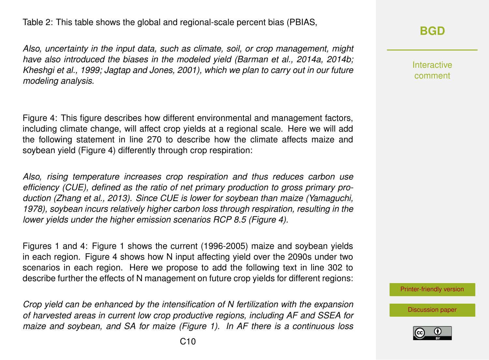Table 2: This table shows the global and regional-scale percent bias (PBIAS,

*Also, uncertainty in the input data, such as climate, soil, or crop management, might have also introduced the biases in the modeled yield (Barman et al., 2014a, 2014b; Kheshgi et al., 1999; Jagtap and Jones, 2001), which we plan to carry out in our future modeling analysis.*

Figure 4: This figure describes how different environmental and management factors, including climate change, will affect crop yields at a regional scale. Here we will add the following statement in line 270 to describe how the climate affects maize and soybean yield (Figure 4) differently through crop respiration:

*Also, rising temperature increases crop respiration and thus reduces carbon use efficiency (CUE), defined as the ratio of net primary production to gross primary production (Zhang et al., 2013). Since CUE is lower for soybean than maize (Yamaguchi, 1978), soybean incurs relatively higher carbon loss through respiration, resulting in the lower yields under the higher emission scenarios RCP 8.5 (Figure 4).*

Figures 1 and 4: Figure 1 shows the current (1996-2005) maize and soybean yields in each region. Figure 4 shows how N input affecting yield over the 2090s under two scenarios in each region. Here we propose to add the following text in line 302 to describe further the effects of N management on future crop yields for different regions:

*Crop yield can be enhanced by the intensification of N fertilization with the expansion of harvested areas in current low crop productive regions, including AF and SSEA for maize and soybean, and SA for maize (Figure 1). In AF there is a continuous loss* **[BGD](https://bg.copernicus.org/preprints/)**

Interactive comment

[Printer-friendly version](https://bg.copernicus.org/preprints/bg-2020-68/bg-2020-68-AC3-print.pdf)

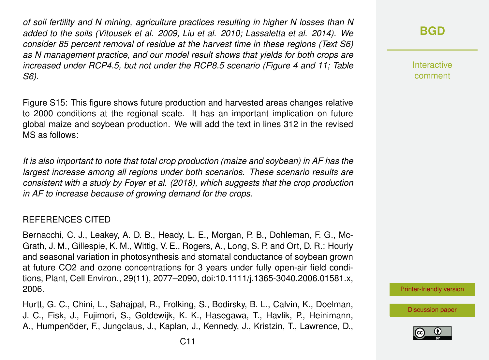*of soil fertility and N mining, agriculture practices resulting in higher N losses than N added to the soils (Vitousek et al. 2009, Liu et al. 2010; Lassaletta et al. 2014). We consider 85 percent removal of residue at the harvest time in these regions (Text S6) as N management practice, and our model result shows that yields for both crops are increased under RCP4.5, but not under the RCP8.5 scenario (Figure 4 and 11; Table S6).*

Figure S15: This figure shows future production and harvested areas changes relative to 2000 conditions at the regional scale. It has an important implication on future global maize and soybean production. We will add the text in lines 312 in the revised MS as follows:

*It is also important to note that total crop production (maize and soybean) in AF has the largest increase among all regions under both scenarios. These scenario results are consistent with a study by Foyer et al. (2018), which suggests that the crop production in AF to increase because of growing demand for the crops.*

#### REFERENCES CITED

Bernacchi, C. J., Leakey, A. D. B., Heady, L. E., Morgan, P. B., Dohleman, F. G., Mc-Grath, J. M., Gillespie, K. M., Wittig, V. E., Rogers, A., Long, S. P. and Ort, D. R.: Hourly and seasonal variation in photosynthesis and stomatal conductance of soybean grown at future CO2 and ozone concentrations for 3 years under fully open-air field conditions, Plant, Cell Environ., 29(11), 2077–2090, doi:10.1111/j.1365-3040.2006.01581.x, 2006.

Hurtt, G. C., Chini, L., Sahajpal, R., Frolking, S., Bodirsky, B. L., Calvin, K., Doelman, J. C., Fisk, J., Fujimori, S., Goldewijk, K. K., Hasegawa, T., Havlik, P., Heinimann, A., Humpenöder, F., Jungclaus, J., Kaplan, J., Kennedy, J., Kristzin, T., Lawrence, D.,

**Interactive** comment

[Printer-friendly version](https://bg.copernicus.org/preprints/bg-2020-68/bg-2020-68-AC3-print.pdf)